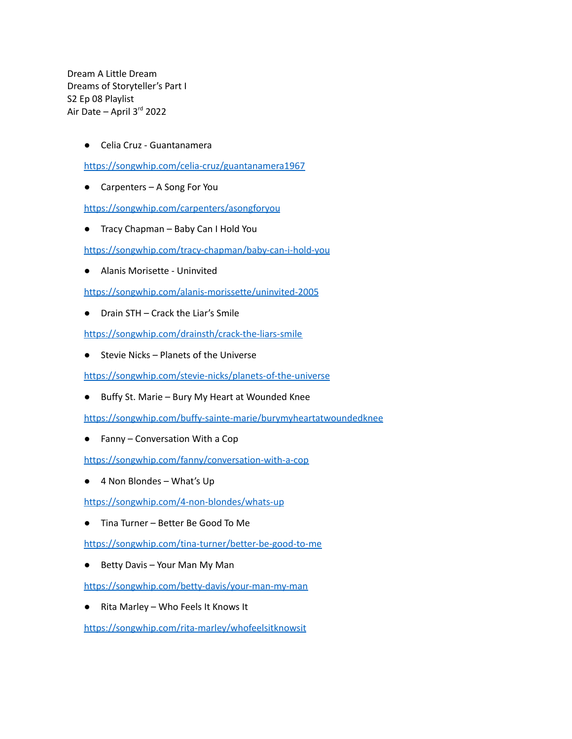Dream A Little Dream Dreams of Storyteller's Part I S2 Ep 08 Playlist Air Date – April 3<sup>rd</sup> 2022

● Celia Cruz - Guantanamera

<https://songwhip.com/celia-cruz/guantanamera1967>

● Carpenters – A Song For You

<https://songwhip.com/carpenters/asongforyou>

● Tracy Chapman – Baby Can I Hold You

<https://songwhip.com/tracy-chapman/baby-can-i-hold-you>

● Alanis Morisette - Uninvited

<https://songwhip.com/alanis-morissette/uninvited-2005>

● Drain STH – Crack the Liar's Smile

<https://songwhip.com/drainsth/crack-the-liars-smile>

● Stevie Nicks – Planets of the Universe

<https://songwhip.com/stevie-nicks/planets-of-the-universe>

● Buffy St. Marie – Bury My Heart at Wounded Knee

<https://songwhip.com/buffy-sainte-marie/burymyheartatwoundedknee>

● Fanny – Conversation With a Cop

<https://songwhip.com/fanny/conversation-with-a-cop>

● 4 Non Blondes – What's Up

<https://songwhip.com/4-non-blondes/whats-up>

● Tina Turner – Better Be Good To Me

<https://songwhip.com/tina-turner/better-be-good-to-me>

● Betty Davis – Your Man My Man

<https://songwhip.com/betty-davis/your-man-my-man>

● Rita Marley – Who Feels It Knows It

<https://songwhip.com/rita-marley/whofeelsitknowsit>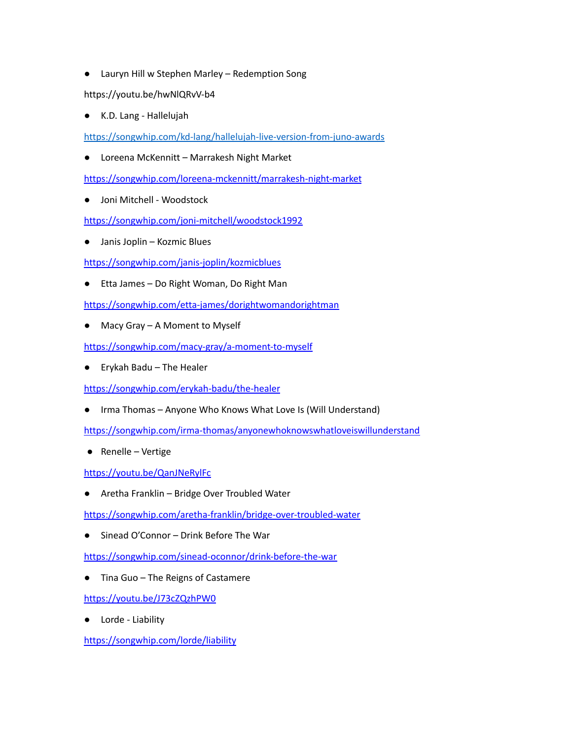● Lauryn Hill w Stephen Marley – Redemption Song

https://youtu.be/hwNlQRvV-b4

● K.D. Lang - Hallelujah

<https://songwhip.com/kd-lang/hallelujah-live-version-from-juno-awards>

● Loreena McKennitt – Marrakesh Night Market

https://songwhip.com/loreena-mckennitt/marrakesh-night-market

Joni Mitchell - Woodstock

https://songwhip.com/joni-mitchell/woodstock1992

● Janis Joplin – Kozmic Blues

https://songwhip.com/janis-joplin/kozmicblues

● Etta James – Do Right Woman, Do Right Man

https://songwhip.com/etta-james/dorightwomandorightman

● Macy Gray – A Moment to Myself

https://songwhip.com/macy-gray/a-moment-to-myself

● Erykah Badu – The Healer

https://songwhip.com/erykah-badu/the-healer

● Irma Thomas – Anyone Who Knows What Love Is (Will Understand)

https://songwhip.com/irma-thomas/anyonewhoknowswhatloveiswillunderstand

● Renelle – Vertige

https://youtu.be/QanJNeRylFc

● Aretha Franklin – Bridge Over Troubled Water

https://songwhip.com/aretha-franklin/bridge-over-troubled-water

Sinead O'Connor – Drink Before The War

https://songwhip.com/sinead-oconnor/drink-before-the-war

● Tina Guo – The Reigns of Castamere

https://youtu.be/J73cZQzhPW0

● Lorde - Liability

https://songwhip.com/lorde/liability